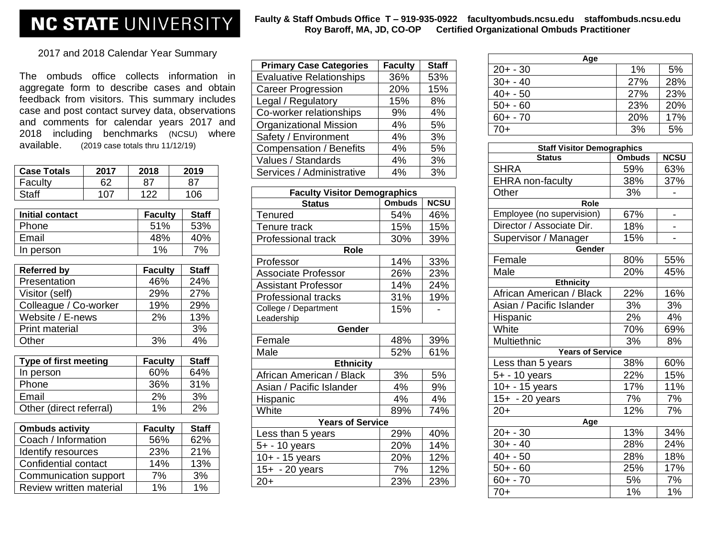## **NC STATE UNIVERSITY**

## **Faulty & Staff Ombuds Office T – 919-935-0922 facultyombuds.ncsu.edu staffombuds.ncsu.edu Roy Baroff, MA, JD, CO-OP Certified Organizational Ombuds Practitioner**

2017 and 2018 Calendar Year Summary

The ombuds office collects information in aggregate form to describe cases and obtain feedback from visitors. This summary includes case and post contact survey data, observations and comments for calendar years 2017 and 2018 including benchmarks (NCSU) where available. (2019 case totals thru 11/12/19)

| <b>Case Totals</b>      | 2017                    | 2018           | 2019         |
|-------------------------|-------------------------|----------------|--------------|
| Faculty                 | 62                      | 87             | 87           |
| <b>Staff</b>            | 107                     | 122            | 106          |
| <b>Initial contact</b>  |                         | <b>Faculty</b> | <b>Staff</b> |
| Phone                   |                         | 51%            | 53%          |
| Email                   |                         | 48%            | 40%          |
| In person               |                         | 1%             | 7%           |
| <b>Referred by</b>      |                         | <b>Faculty</b> | <b>Staff</b> |
| Presentation            |                         | 46%            | 24%          |
| Visitor (self)          |                         | 29%            | 27%          |
| Colleague / Co-worker   |                         | 19%            | 29%          |
| Website / E-news        |                         | 2%             | 13%          |
| <b>Print material</b>   |                         |                | 3%           |
| Other                   |                         | 3%             | 4%           |
| Type of first meeting   |                         | <b>Faculty</b> | <b>Staff</b> |
| In person               |                         | 60%            | 64%          |
| Phone                   |                         | 36%            | 31%          |
| Email                   |                         | 2%             | 3%           |
|                         | Other (direct referral) |                | 2%           |
| <b>Ombuds activity</b>  |                         | <b>Faculty</b> | <b>Staff</b> |
| Coach / Information     |                         | 56%            | 62%          |
|                         | Identify resources      |                | 21%          |
| Confidential contact    |                         | 23%<br>14%     | 13%          |
| Communication support   |                         | 7%             | 3%           |
| Review written material |                         | 1%             | 1%           |

| <b>Primary Case Categories</b>  | <b>Faculty</b> | <b>Staff</b> |
|---------------------------------|----------------|--------------|
| <b>Evaluative Relationships</b> | 36%            | 53%          |
| <b>Career Progression</b>       | 20%            | 15%          |
| Legal / Regulatory              | 15%            | 8%           |
| Co-worker relationships         | 9%             | 4%           |
| <b>Organizational Mission</b>   | 4%             | 5%           |
| Safety / Environment            | 4%             | 3%           |
| <b>Compensation / Benefits</b>  | 4%             | 5%           |
| Values / Standards              | 4%             | 3%           |
| Services / Administrative       | 4%             | 3%           |

| <b>Faculty Visitor Demographics</b>           |     |     |  |  |  |
|-----------------------------------------------|-----|-----|--|--|--|
| <b>NCSU</b><br><b>Ombuds</b><br><b>Status</b> |     |     |  |  |  |
| <b>Tenured</b>                                | 54% | 46% |  |  |  |
| Tenure track                                  | 15% | 15% |  |  |  |
| <b>Professional track</b>                     | 30% | 39% |  |  |  |
| Role                                          |     |     |  |  |  |
| Professor                                     | 14% | 33% |  |  |  |
| <b>Associate Professor</b>                    | 26% | 23% |  |  |  |
| <b>Assistant Professor</b>                    | 14% | 24% |  |  |  |
| <b>Professional tracks</b>                    | 31% | 19% |  |  |  |
| College / Department                          | 15% |     |  |  |  |
| Leadership                                    |     |     |  |  |  |
| Gender                                        |     |     |  |  |  |
| Female                                        | 48% | 39% |  |  |  |
| Male                                          | 52% | 61% |  |  |  |
| <b>Ethnicity</b>                              |     |     |  |  |  |
| African American / Black                      | 3%  | 5%  |  |  |  |
| Asian / Pacific Islander                      | 4%  | 9%  |  |  |  |
| Hispanic                                      | 4%  | 4%  |  |  |  |
| White                                         | 89% | 74% |  |  |  |
| <b>Years of Service</b>                       |     |     |  |  |  |
| Less than 5 years                             | 29% | 40% |  |  |  |
| 5+ - 10 years                                 | 20% | 14% |  |  |  |
| 10+ - 15 years                                | 20% | 12% |  |  |  |
| 15+ - 20 years                                | 7%  | 12% |  |  |  |
| 20+                                           | 23% | 23% |  |  |  |

| Age         |     |     |  |  |
|-------------|-----|-----|--|--|
| $20 + -30$  | 1%  | 5%  |  |  |
| $30 + -40$  | 27% | 28% |  |  |
| $40 + -50$  | 27% | 23% |  |  |
| $50 + -60$  | 23% | 20% |  |  |
| $60 + - 70$ | 20% | 17% |  |  |
| $70+$       | 3%  | 5%  |  |  |

| <b>Staff Visitor Demographics</b> |               |             |  |  |  |
|-----------------------------------|---------------|-------------|--|--|--|
| <b>Status</b>                     | <b>Ombuds</b> | <b>NCSU</b> |  |  |  |
| <b>SHRA</b>                       | 59%           | 63%         |  |  |  |
| <b>EHRA</b> non-faculty           | 38%           | 37%         |  |  |  |
| Other                             | 3%            |             |  |  |  |
| Role                              |               |             |  |  |  |
| Employee (no supervision)         | 67%           |             |  |  |  |
| Director / Associate Dir.         | 18%           |             |  |  |  |
| Supervisor / Manager              | 15%           |             |  |  |  |
| Gender                            |               |             |  |  |  |
| Female                            | 80%           | 55%         |  |  |  |
| Male                              | 20%           | 45%         |  |  |  |
| <b>Ethnicity</b>                  |               |             |  |  |  |
| African American / Black          | 22%           | 16%         |  |  |  |
| Asian / Pacific Islander          | 3%            | 3%          |  |  |  |
| Hispanic                          | 2%            | 4%          |  |  |  |
| White                             | 70%           | 69%         |  |  |  |
| Multiethnic                       | 3%            | 8%          |  |  |  |
| <b>Years of Service</b>           |               |             |  |  |  |
| Less than 5 years                 | 38%           | 60%         |  |  |  |
| 5+ - 10 years                     | 22%           | 15%         |  |  |  |
| 10+ - 15 years                    | 17%           | 11%         |  |  |  |
| 15+ - 20 years                    | 7%            | 7%          |  |  |  |
| $20+$                             | 12%           | 7%          |  |  |  |
| Age                               |               |             |  |  |  |
| $20 + -30$                        | 13%           | 34%         |  |  |  |
| $30 + -40$                        | 28%           | 24%         |  |  |  |
| $40 + -50$                        | 28%           | 18%         |  |  |  |
| $50 + -60$                        | 25%           | 17%         |  |  |  |
| $60 + -70$                        | 5%            | 7%          |  |  |  |
| $70+$                             | 1%            | 1%          |  |  |  |